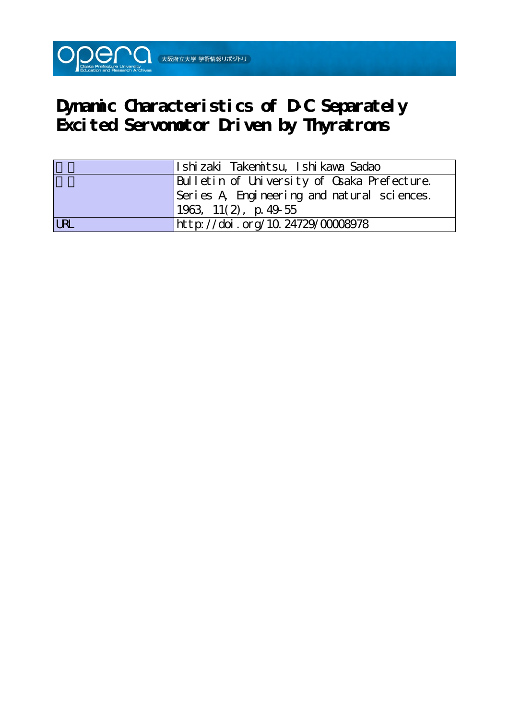

# **Dynamic Characteristics of D-C Separately Excited Servomotor Driven by Thyratrons**

|            | Ishizaki Takenitsu, Ishikawa Sadao          |
|------------|---------------------------------------------|
|            | Bulletin of University of Osaka Prefecture. |
|            | Series A Engineering and natural sciences.  |
|            | $1963, 11(2)$ , p. 49-55                    |
| <b>LRL</b> | http://doi.org/10.24729/00008978            |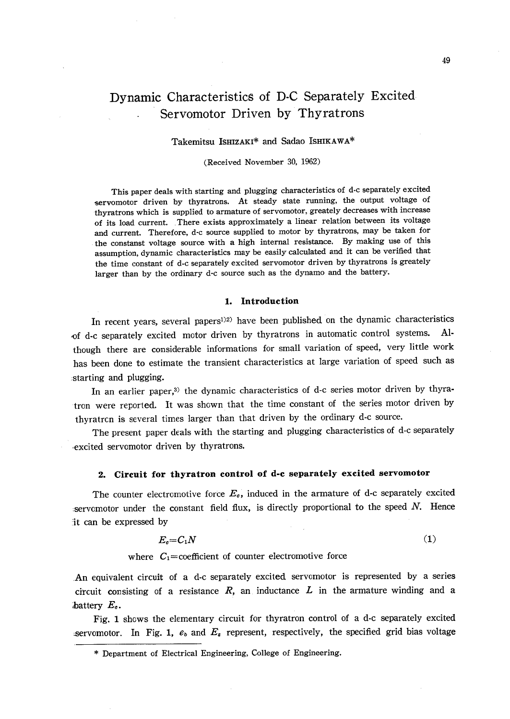# Dynamic Characteristics of D-C Separately Excited Servomotor Driven by Thyratrons

# Takemitsu IsHIzAKi\* and Sadao IsHIKAwA\*

## (Received November 30, l962)

 This paper deals with starting and plugging characteristics of d-c separately excited servomotor driven by thyratrons. At steady state running, the output voltage of thyratrons which is supplied to armature of servomotor, greately decreases with increase of its load current. .There exists approximately a linear relation between its voltage and current. Therefore, d-c source supplied to motor by thyratrons, may be taken for the constanst voltage source with a high internal resistance. By making use of this assumption, dynamic characteristics may be easily calculated and it can be verified that the time constant of d-c separately excited servomotor driven by thyratrons is greately larger than by the ordinary d-c source such as the dynamo and the battery.

## 1. Introduction

In recent years, several papers<sup>1)2)</sup> have been published on the dynamic characteristics of d-c separately excited motor driven by thyratrons in automatic control systems. Although there are considerable informations for small variation of speed, very little work has been done to estimate the transient characteristics at large variation of speed such as ,starting and plugging.

In an earlier paper,<sup>3)</sup> the dynamic characteristics of d-c series motor driven by thyratron were reported. It was shown that the time constant of the series motor driven by thyratrcn is several times larger than that driven by the ordinary d-c source.

 The present paper deals with the starting and plugging characteristics of d-c separately excited servomotor driven by thyratrons.

# 2. Circuit for thyratron control of d-c separately excited servomotor

The counter electromotive force  $E<sub>c</sub>$ , induced in the armature of d-c separately excited :servomotor under the constant field flux, is directly proportional to the speed  $N$ . Hence lt can be expressed by

$$
E_0 = C_1 N
$$
\nwhere  $C_1$  = coefficient of counter electromotive force

\n
$$
C_2 = 0.1 \times 10^{-4} \, \text{J} \cdot \text{m}^2
$$
\nwhere  $C_3$  is the coefficient of the current force

An equivalent circuit of a d-c separately excited servomotor is represented by a series circuit consisting of a resistance  $R$ , an inductance  $L$  in the armature winding and a battery  $E_{\sigma}$ .

 Fig. 1 shows the elementary circuit for thyratron control of a d-c separately excited servomotor. In Fig. 1,  $e<sub>b</sub>$  and  $E<sub>s</sub>$  represent, respectively, the specified grid bias voltage

 <sup>\*</sup> Department of Electrical Engineering, College of Engineering.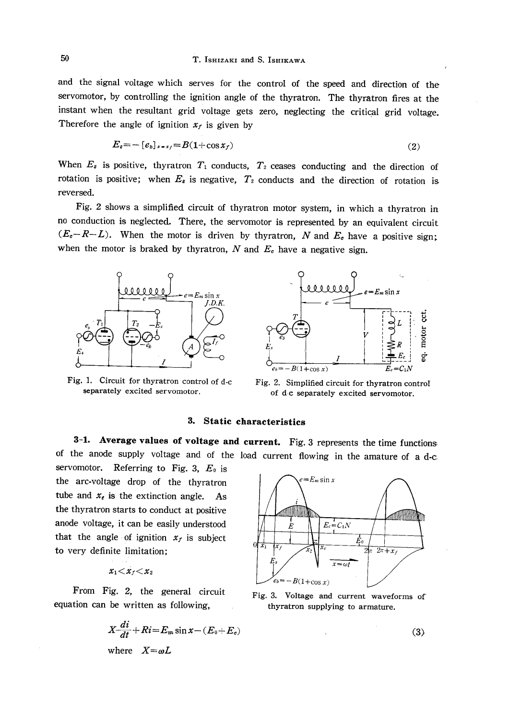and the signal voltage which serves for the control of the speed and direction of the servomotor, by controlling the ignition angle of the thyratron. The thyratron fires at the instant when the resultant grid voltage gets zero, neglecting the critical grid voltage. Therefore the angle of ignition  $x<sub>f</sub>$  is given by

$$
E_s = -\left[e_b\right]_{s=s_f} = B(1+\cos x_f) \tag{2}
$$

When  $E_s$  is positive, thyratron  $T_1$  conducts,  $T_2$  ceases conducting and the direction of rotation is positive; when  $E_s$  is negative,  $T_2$  conducts and the direction of rotation is reversed.

 Fig. 2 shows a simplified circuit of thyratron motor system, in which a thyratron in no conduction is neglected. There, the servomotor is represented by an equivalent circuit  $(E_{\sigma}-R-L)$ . When the motor is driven by thyratron, N and  $E_{\sigma}$  have a positive sign; when the motor is braked by thyratron, N and  $E<sub>e</sub>$  have a negative sign.



Fig. 1. Circuit for thyratron control of d-c Fig. 2. Simplified circuit for thyratron control



separately excited servomotor.  $\qquad \qquad$  of dc separately excited servomotor.

# 3. Static characteristics

 3-1. Average values of voltage and current. Fig.3 represents the time functions of the anode supply voltage and of the load current flowing in the amature of ad-e

servomotor. Referring to Fig. 3,  $E_0$  is the arc-voltage drop of the thyratron  $e=E_m\sin x$ tube and  $x_e$  is the extinction angle. As the thyratron starts to conduct at positive anode voltage, it can be easily understood  $|| \cdot || \cdot ||_E = \bigcap_{E_c} E_{c_1}$ that the angle of ignition  $x_f$  is subject to very definite limitation;  $\frac{E_0}{x_1 + x_f}$   $\frac{E_0}{x_2 + x_f}$ 

$$
x_1{<}x_1{<}x_2
$$

From Fig. 2, the general circuit Fig. 3. Voltage and current waveforms of equation can be written as following, thyratron supplying to armature.

$$
X - \frac{di}{dt} + Ri = E_m \sin x - (E_0 + E_e)
$$
  
where  $X = \omega L$  (3)

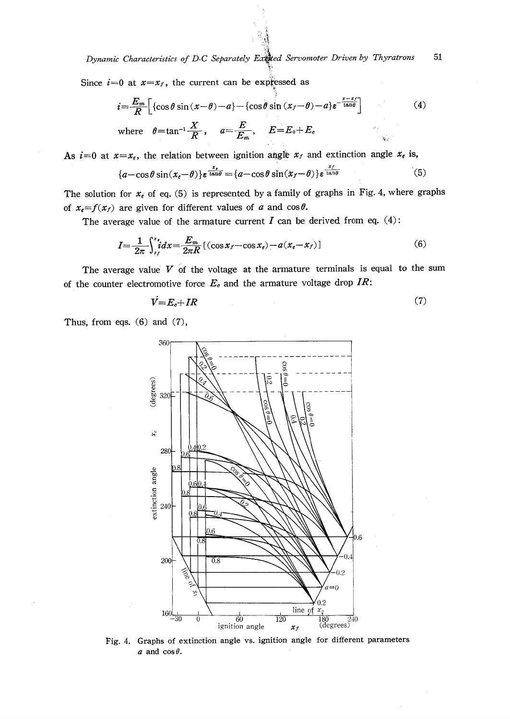Dynamic Characteristics of D-C Separately Excelled Servomoter Driven by Thyratrons 51

Since  $i=0$  at  $x=x_f$ , the current can be expressed as

$$
i = \frac{E_m}{R} \left[ \left\{ \cos \theta \sin (x - \theta) - a \right\} - \left\{ \cos \theta \sin (x - \theta) - a \right\} e^{-\frac{x - x}{\tan \theta}} \right]
$$
(4)  
where  $\theta = \tan^{-1} \frac{X}{R}$ ,  $a = \frac{E}{E_m}$ ,  $E = E_0 + E_e$ 

As  $i=0$  at  $x=x_e$ , the relation between ignition angle  $x_f$  and extinction angle  $x_e$  is,

$$
\{a-\cos\theta\sin(x_e-\theta)\}\varepsilon^{\frac{x_e}{\tan\theta}} = \{a-\cos\theta\sin(x_f-\theta)\}\varepsilon^{\frac{x_f}{\tan\theta}}
$$
(5)

The solution for  $x_e$  of eq. (5) is represented by a family of graphs in Fig. 4, where graphs of  $x_e = f(x_f)$  are given for different values of a and  $\cos \theta$ .

The average value of the armature current  $I$  can be derived from eq. (4):

$$
I = \frac{1}{2\pi} \int_{x_f}^{x_e} i dx = \frac{E_m}{2\pi R} \left[ (\cos x_f - \cos x_e) - a(x_e - x_f) \right] \tag{6}
$$

The average value  $V$  of the voltage at the armature terminals is equal to the sum of the counter electromotive force  $E<sub>e</sub>$  and the armature voltage drop IR:

$$
V = E_c + IR \tag{7}
$$

Thus, from eqs.  $(6)$  and  $(7)$ ,



Fig. 4. Graphs of extinction angle vs. ignition angle for different parameters  $a$  and  $\cos\theta$ .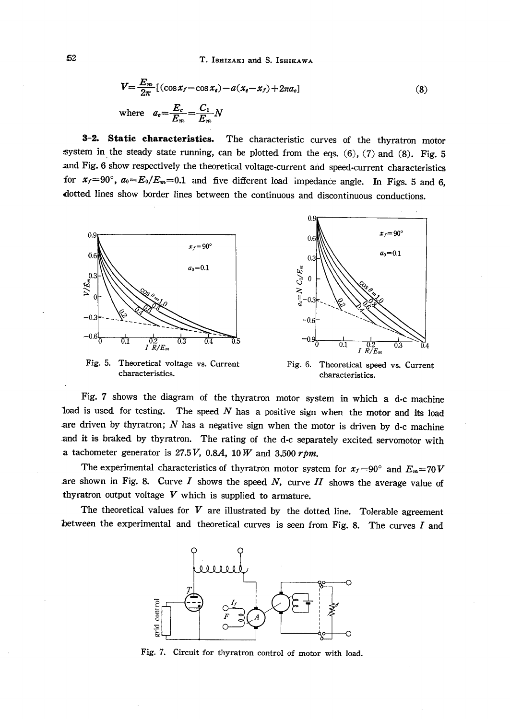T. ISHIZAKI and S. ISHIKAWA

$$
V = \frac{E_m}{2\pi} \left[ (\cos x_f - \cos x_e) - a(x_e - x_f) + 2\pi a_e \right]
$$
  
where 
$$
a_e = \frac{E_c}{E_m} = \frac{C_1}{E_m} N
$$
 (8)

3-2. Static characteristics. The characteristic curves of the thyratron motor system in the steady state running, can be plotted from the eqs.  $(6)$ ,  $(7)$  and  $(8)$ . Fig. 5 and Fig. 6 show respectively the theoretical voltage-current and speed-current characteristics for  $x_f=90^\circ$ ,  $a_0=E_0/E_m=0.1$  and five different load impedance angle. In Figs. 5 and 6, dotted lines show border lines between the continuous and discontinuous conductions.



Fig. 5. Theoretical voltage vs. Current characteristics.



Fig. 6. Theoretical speed vs. Current characteristics.

Fig. 7 shows the diagram of the thyratron motor system in which a d-c machine load is used for testing. The speed  $N$  has a positive sign when the motor and its load are driven by thyratron;  $N$  has a negative sign when the motor is driven by d-c machine and it is braked by thyratron. The rating of the d-c separately excited servomotor with a tachometer generator is 27.5V, 0.8A, 10W and 3,500  $rpm$ .

The experimental characteristics of thyratron motor system for  $x_f = 90^\circ$  and  $E_m = 70V$ are shown in Fig. 8. Curve  $I$  shows the speed  $N$ , curve  $II$  shows the average value of thyratron output voltage  $V$  which is supplied to armature.

The theoretical values for  $V$  are illustrated by the dotted line. Tolerable agreement between the experimental and theoretical curves is seen from Fig. 8. The curves  $I$  and



Fig. 7. Circuit for thyratron control of motor with load.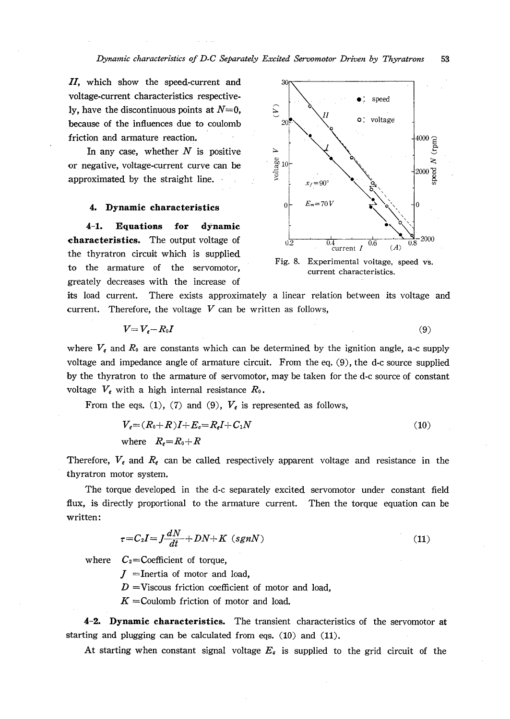II, which show the speed-current and voltage-current characteristics respectively, have the discontinuous points at  $N=0$ . because of the influences due to coulomb friction and armature reaction.

In any case, whether  $N$  is positive or negative, voltage-current curve can be approximated by the straight line.

# 4. Dynamic characteristics

 $4 - 1.$ Equations for dynamic characteristics. The output voltage of the thyratron circuit which is supplied to the armature of the servomotor, greately decreases with the increase of



Fig. 8. Experimental voltage, speed vs. current characteristics.

its load current. There exists approximately a linear relation between its voltage and current. Therefore, the voltage  $V$  can be written as follows,

$$
V = V_e - R_0 I \tag{9}
$$

where  $V_e$  and  $R_0$  are constants which can be determined by the ignition angle, a-c supply voltage and impedance angle of armature circuit. From the eq. (9), the d-c source supplied by the thyratron to the armature of servomotor, may be taken for the d-c source of constant voltage  $V_e$  with a high internal resistance  $R_0$ .

From the eqs. (1), (7) and (9),  $V_e$  is represented as follows,

$$
V_e = (R_0 + R)I + E_e = R_e I + C_1 N
$$
  
where  $R_e = R_0 + R$  (10)

Therefore,  $V_e$  and  $R_e$  can be called respectively apparent voltage and resistance in the thyratron motor system.

The torque developed in the d-c separately excited servomotor under constant field flux, is directly proportional to the armature current. Then the torque equation can be written:

$$
\tau = C_2 I = J \frac{dN}{dt} + DN + K \ (sgnN) \tag{11}
$$

 $C_2$ =Coefficient of torque, where

 $J =$ Inertia of motor and load,

 $D = V$ iscous friction coefficient of motor and load,

 $K =$ Coulomb friction of motor and load.

4-2. Dynamic characteristics. The transient characteristics of the servomotor at starting and plugging can be calculated from eqs. (10) and (11).

At starting when constant signal voltage  $E_s$  is supplied to the grid circuit of the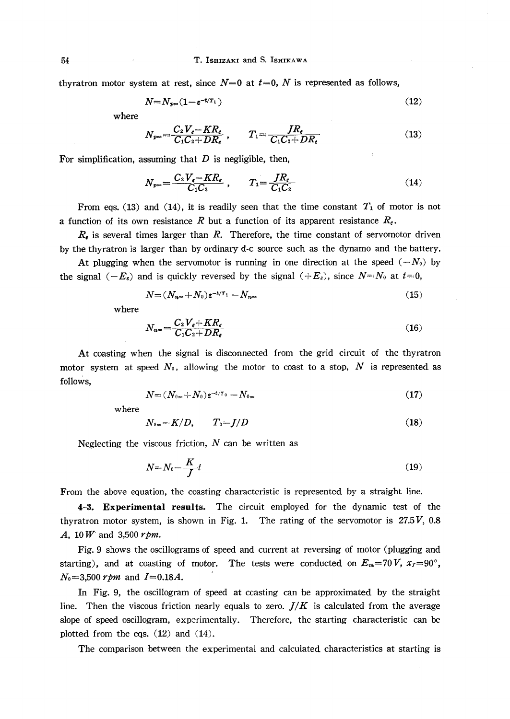thyratron motor system at rest, since  $N=0$  at  $t=0$ , N is represented as follows,

$$
N = N_{p\infty}(1 - \varepsilon^{-t/T_1})
$$
\n(12)

where

$$
N_{p\infty} = \frac{C_2 V_e - KR_e}{C_1 C_2 + DR_e} , \qquad T_1 = \frac{JR_e}{C_1 C_2 + DR_e} \tag{13}
$$

For simplification, assuming that  $D$  is negligible, then,

$$
N_{p\infty} = \frac{C_2 V_{\epsilon} - KR_{\epsilon}}{C_1 C_2} \,, \qquad T_1 = \frac{JR_{\epsilon}}{C_1 C_2} \tag{14}
$$

From eqs. (13) and (14), it is readily seen that the time constant  $T_1$  of motor is not a function of its own resistance R but a function of its apparent resistance  $R_{\epsilon}$ .

 $R_{\epsilon}$  is several times larger than R. Therefore, the time constant of servomotor driven by the thyratron is larger than by ordinary d-c source such as the dynamo and the battery.

At plugging when the servomotor is running in one direction at the speed  $(-N_0)$  by the signal  $(-E_s)$  and is quickly reversed by the signal  $(+E_s)$ , since  $N=:\mathbb{N}_0$  at  $t=0$ ,

$$
N = (N_{n^{\infty}} + N_0) \varepsilon^{-t/T_1} - N_{n^{\infty}}
$$
\n(15)

where

$$
N_{n\infty} = \frac{C_2 V_e + KR_e}{C_1 C_2 + DR_e} \tag{16}
$$

 At coasting when the signal is disconnected from the grid circuit of the thyratron motor system at speed  $N_0$ , allowing the motor to coast to a stop, N is represented as follows,

$$
N = (N_{0\infty} + N_0) \varepsilon^{-t/T_0} - N_{0\infty} \tag{17}
$$

where

$$
N_{0\infty}=K/D, \qquad T_0=J/D \tag{18}
$$

Neglecting the viscous friction,  $N$  can be written as

$$
N = N_0 - \frac{K}{J}t\tag{19}
$$

From the above equation, the coasting characteristic is represented by a straight line.

4-3. Experimental results. The circuit employed for the dynamic test of the thyratron motor system, is shown in Fig. 1. The rating of the servomotor is  $27.5V$ , 0.8 A,  $10 W$  and 3,500  $rpm$ .

 Fig. 9 shows the oscillograms of speed and current at reversing of motor (plugging and starting), and at coasting of motor. The tests were conducted on  $E_m$ =70V,  $x_f$ =90°,  $N_0$ =3,500 *rpm* and  $I=0.18A$ .

 In Fig. 9, the oscillogram of speed at coasting can be approximated by the straight line. Then the viscous friction nearly equals to zero.  $J/K$  is calculated from the average slope of speed oscillogram, experimentally. Therefore, the starting characteristic can be plotted from the eqs. (12) and (14).

The comparison between the experimental and calculated characteristics at starting is